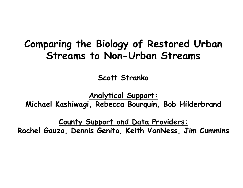### **Comparing the Biology of Restored Urban Streams to Non-Urban Streams**

**Scott Stranko**

**Analytical Support:**

**Michael Kashiwagi, Rebecca Bourquin, Bob Hilderbrand**

**County Support and Data Providers: Rachel Gauza, Dennis Genito, Keith VanNess, Jim Cummins**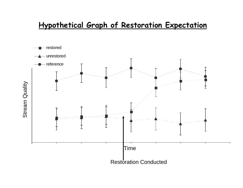### **Hypothetical Graph of Restoration Expectation**

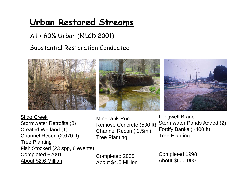### **Urban Restored Streams**

#### All > 60% Urban (NLCD 2001)

#### Substantial Restoration Conducted



Sligo Creek Stormwater Retrofits (8) Created Wetland (1) Channel Recon (2,670 ft) Tree Planting Fish Stocked (23 spp, 6 events) Completed ~2001 About \$2.6 Million

Minebank Run Remove Concrete (500 ft) Channel Recon ( 3.5mi) Tree Planting

Longwell Branch Stormwater Ponds Added (2) Fortify Banks (~400 ft) Tree Planting

Completed 2005 About \$4.0 Million Completed 1998 About \$600,000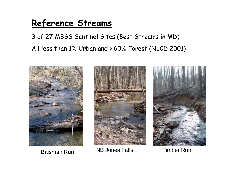### **Reference Streams**

### 3 of 27 MBSS Sentinel Sites (Best Streams in MD) All less than 1% Urban and > 60% Forest (NLCD 2001)



Baisman Run



NB Jones Falls Timber Run

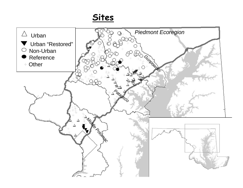### **Sites**

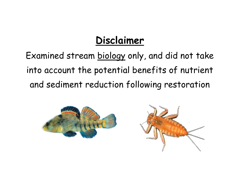# **Disclaimer**

Examined stream biology only, and did not take into account the potential benefits of nutrient and sediment reduction following restoration



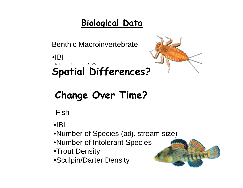### **Biological Data**

Benthic Macroinvertebrate

•IBI $\bullet$   $\bullet$   $\bullet$   $\bullet$   $\bullet$   $\bullet$   $\bullet$   $\bullet$ **Spatial Differences?** 



# **Change Over Time?**

### Fish

 $\bullet$  $\mathsf{IBI}$ 

•Number of Species (adj. stream size)

•Number of Intolerant Species

- •Trout Density
- •Sculpin/Darter Density

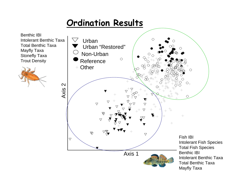### **Ordination Results**

Benthic IBIIntolerant Benthic TaxaTotal Benthic TaxaMayfly Taxa Stonefly Taxa Trout Density



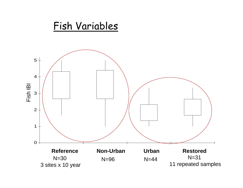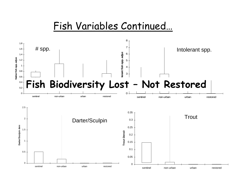### Fish Variables Continued…

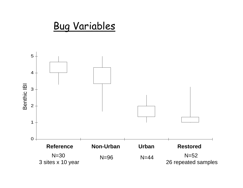

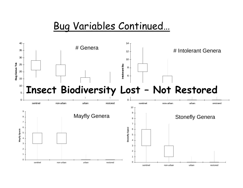### Bug Variables Continued…

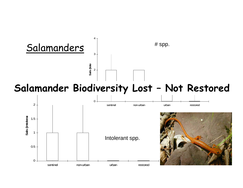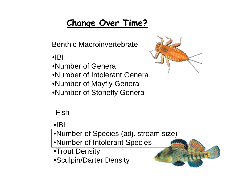### **Change Over Time?**

Benthic Macroinvertebrate

- •IBI
- •Number of Genera
- •Number of Intolerant Genera
- •Number of Mayfly Genera
- •Number of Stonefly Genera



### Fish

 $\bullet$  $\mathsf{B}$ 

•Number of Species (adj. stream size) •Number of Intolerant Species

- •Trout Density
- •Sculpin/Darter Density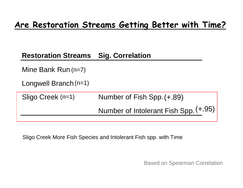#### **Restoration Streams Sig. Correlation**

Mine Bank Run (n=7)

Longwell Branch (n=1)

| Sligo Creek (n=1) | Number of Fish Spp. (+.89)            |
|-------------------|---------------------------------------|
|                   | Number of Intolerant Fish Spp. (+.95) |

Sligo Creek More Fish Species and Intolerant Fish spp. with Time

Based on Spearman Correlation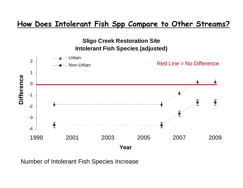#### **How Does Intolerant Fish Spp Compare to Other Streams?**



Number of Intolerant Fish Species Increase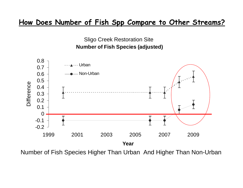#### **How Does Number of Fish Spp Compare to Other Streams?**



Number of Fish Species Higher Than Urban And Higher Than Non-Urban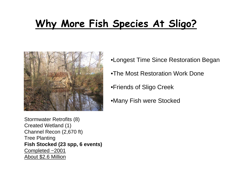# **Why More Fish Species At Sligo?**



•Longest Time Since Restoration Began

- •The Most Restoration Work Done
- •Friends of Sligo Creek
- •Many Fish were Stocked

Stormwater Retrofits (8) Created Wetland (1) Channel Recon (2,670 ft) Tree Planting **Fish Stocked (23 spp, 6 events)** Completed ~2001 About \$2.6 Million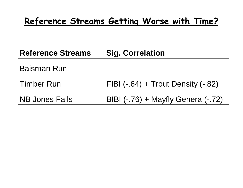### **Reference Streams Getting Worse with Time?**

### **Reference Streams Sig. Correlation**

### Baisman Run

- Timber RunFIBI (-.64) + Trout Density (-.82)
- NB Jones Falls BIBI (-.76) + Mayfly Genera (-.72)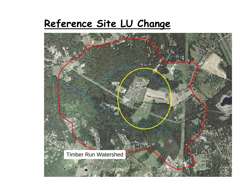### **Reference Site LU Change**

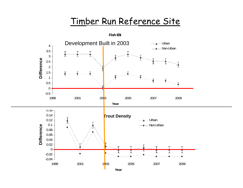### Timber Run Reference Site

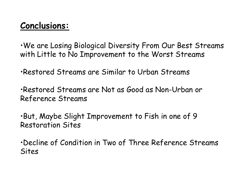### **Conclusions:**

•We are Losing Biological Diversity From Our Best Streams with Little to No Improvement to the Worst Streams

•Restored Streams are Similar to Urban Streams

•Restored Streams are Not as Good as Non-Urban or Reference Streams

•But, Maybe Slight Improvement to Fish in one of 9 Restoration Sites

•Decline of Condition in Two of Three Reference Streams Sites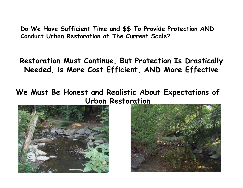**Do We Have Sufficient Time and \$\$ To Provide Protection AND Conduct Urban Restoration at The Current Scale?**

**Restoration Must Continue, But Protection Is Drastically Needed, is More Cost Efficient, AND More Effective**

**We Must Be Honest and Realistic About Expectations of Urban Restoration**



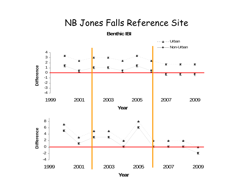#### **Jones Falls Sentinel Site**NB Jones Falls Reference Site



**Year**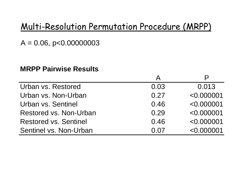### Multi-Resolution Permutation Procedure (MRPP)

 $A = 0.06$ , p<0.00000003

#### **MRPP Pairwise Results**

| Urban vs. Restored           | 0.03 | 0.013      |
|------------------------------|------|------------|
| Urban vs. Non-Urban          | 0.27 | < 0.000001 |
| Urban vs. Sentinel           | 0.46 | < 0.000001 |
| Restored vs. Non-Urban       | 0.29 | < 0.000001 |
| <b>Restored vs. Sentinel</b> | 0.46 | < 0.000001 |
| Sentinel vs. Non-Urban       | 0.07 | < 0.000001 |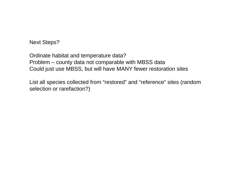Next Steps?

Ordinate habitat and temperature data? Problem – county data not comparable with MBSS data Could just use MBSS, but will have MANY fewer restoration sites

List all species collected from "restored" and "reference" sites (random selection or rarefaction?)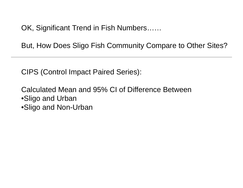OK, Significant Trend in Fish Numbers……

But, How Does Sligo Fish Community Compare to Other Sites?

CIPS (Control Impact Paired Series):

Calculated Mean and 95% CI of Difference Between •Sligo and Urban •Sligo and Non-Urban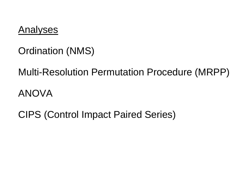

### Ordination (NMS)

Multi-Resolution Permutation Procedure (MRPP) ANOVA

CIPS (Control Impact Paired Series)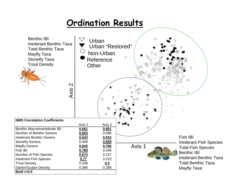### **Ordination Results**

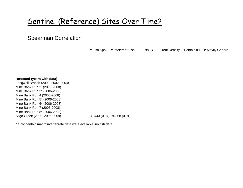### Sentinel (Reference) Sites Over Time?

#### Spearman Correlation

| # Fish Spp | # Intolerant Fish | Fish IBI |  | Trout Density Benthic IBI # Mayfly Genera |
|------------|-------------------|----------|--|-------------------------------------------|

| Restored (years with data)         |                             |
|------------------------------------|-----------------------------|
| Longwell Branch (2000, 2002, 2004) |                             |
| Mine Bank Run 2 (2006-2008)        |                             |
| Mine Bank Run 3* (2006-2008)       |                             |
| Mine Bank Run 4 (2006-2008)        |                             |
| Mine Bank Run 5* (2006-2008)       |                             |
| Mine Bank Run 6* (2006-2008)       |                             |
| Mine Bank Run 7 (2006-2008)        |                             |
| Mine Bank Run 8* (2006-2008)       |                             |
| Sligo Creek (2000, 2006-2009)      | 89.443 (0.04) 94.868 (0.01) |

\* Only benthic macroinvertebrate data were available, no fish data.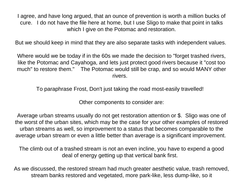I agree, and have long argued, that an ounce of prevention is worth a million bucks of cure. I do not have the file here at home, but I use Sligo to make that point in talks which I give on the Potomac and restoration.

But we should keep in mind that they are also separate tasks with independent values.

Where would we be today if in the 60s we made the decision to "forget trashed rivers, like the Potomac and Cayahoga, and lets just protect good rivers because it "cost too much" to restore them." The Potomac would still be crap, and so would MANY other rivers.

To paraphrase Frost, Don't just taking the road most-easily travelled!

Other components to consider are:

Average urban streams usually do not get restoration attention or \$. Sligo was one of the worst of the urban sites, which may be the case for your other examples of restored urban streams as well, so improvement to a status that becomes comparable to the average urban stream or even a little better than average is a significant improvement.

The climb out of a trashed stream is not an even incline, you have to expend a good deal of energy getting up that vertical bank first.

As we discussed, the restored stream had much greater aesthetic value, trash removed, stream banks restored and vegetated, more park-like, less dump-like, so it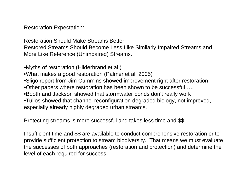Restoration Expectation:

Restoration Should Make Streams Better. Restored Streams Should Become Less Like Similarly Impaired Streams and More Like Reference (Unimpaired) Streams.

•Myths of restoration (Hilderbrand et al.) •What makes a good restoration (Palmer et al. 2005) •Sligo report from Jim Cummins showed improvement right after restoration •Other papers where restoration has been shown to be successful….. •Booth and Jackson showed that stormwater ponds don't really work •Tullos showed that channel reconfiguration degraded biology, not improved, - especially already highly degraded urban streams.

Protecting streams is more successful and takes less time and \$\$.......

Insufficient time and \$\$ are available to conduct comprehensive restoration or to provide sufficient protection to stream biodiversity. That means we must evaluate the successes of both approaches (restoration and protection) and determine the level of each required for success.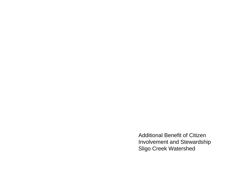Additional Benefit of Citizen Involvement and Stewardship Sligo Creek Watershed